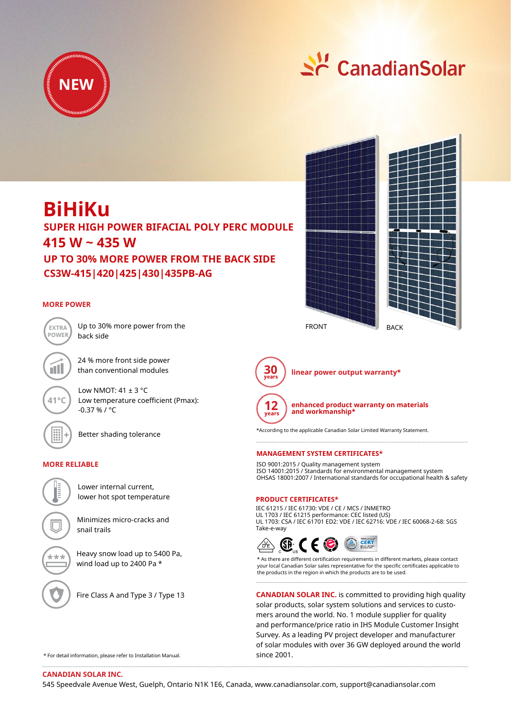



# **BiHiKu**

**415 W ~ 435 W CS3W-415|420|425|430|435PB-AG SUPER HIGH POWER BIFACIAL POLY PERC MODULE UP TO 30% MORE POWER FROM THE BACK SIDE**

# **MORE POWER**



Up to 30% more power from the back side

24 % more front side power than conventional modules

Low NMOT:  $41 \pm 3$  °C Low temperature coefficient (Pmax): -0.37 % / °C



**41°C**

Better shading tolerance

# **MORE RELIABLE**



lower hot spot temperature

Minimizes micro-cracks and snail trails

Heavy snow load up to 5400 Pa, wind load up to 2400 Pa \*



Fire Class A and Type 3 / Type 13





**30 linear power output warranty\***

**enhanced product warranty on materials** 

**and workmanship\***

\*According to the applicable Canadian Solar Limited Warranty Statement.

## **MANAGEMENT SYSTEM CERTIFICATES\***

ISO 9001:2015 / Quality management system ISO 14001:2015 / Standards for environmental management system OHSAS 18001:2007 / International standards for occupational health & safety

#### **PRODUCT CERTIFICATES\***

IEC 61215 / IEC 61730: VDE / CE / MCS / INMETRO UL 1703 / IEC 61215 performance: CEC listed (US) UL 1703: CSA / IEC 61701 ED2: VDE / IEC 62716: VDE / IEC 60068-2-68: SGS Take-e-way



\* As there are different certification requirements in different markets, please contact your local Canadian Solar sales representative for the specific certificates applicable to the products in the region in which the products are to be used.

**CANADIAN SOLAR INC.** is committed to providing high quality solar products, solar system solutions and services to customers around the world. No. 1 module supplier for quality and performance/price ratio in IHS Module Customer Insight Survey. As a leading PV project developer and manufacturer of solar modules with over 36 GW deployed around the world since 2001.

\* For detail information, please refer to Installation Manual.

**CANADIAN SOLAR INC.**

545 Speedvale Avenue West, Guelph, Ontario N1K 1E6, Canada, www.canadiansolar.com, support@canadiansolar.com